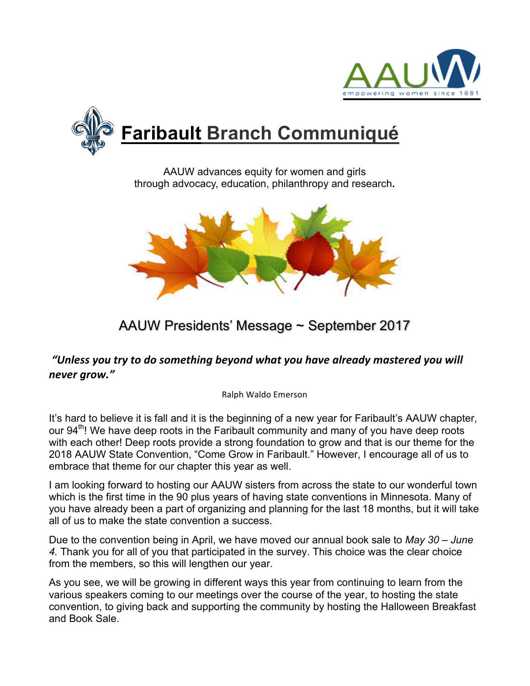



AAUW advances equity for women and girls through advocacy, education, philanthropy and research**.**



# AAUW Presidents' Message ~ September 2017

### *"Unless you try to do something beyond what you have already mastered you will never grow."*

Ralph Waldo Emerson

It's hard to believe it is fall and it is the beginning of a new year for Faribault's AAUW chapter, our 94<sup>th</sup>! We have deep roots in the Faribault community and many of you have deep roots with each other! Deep roots provide a strong foundation to grow and that is our theme for the 2018 AAUW State Convention, "Come Grow in Faribault." However, I encourage all of us to embrace that theme for our chapter this year as well.

I am looking forward to hosting our AAUW sisters from across the state to our wonderful town which is the first time in the 90 plus years of having state conventions in Minnesota. Many of you have already been a part of organizing and planning for the last 18 months, but it will take all of us to make the state convention a success.

Due to the convention being in April, we have moved our annual book sale to *May 30 – June 4.* Thank you for all of you that participated in the survey. This choice was the clear choice from the members, so this will lengthen our year.

As you see, we will be growing in different ways this year from continuing to learn from the various speakers coming to our meetings over the course of the year, to hosting the state convention, to giving back and supporting the community by hosting the Halloween Breakfast and Book Sale.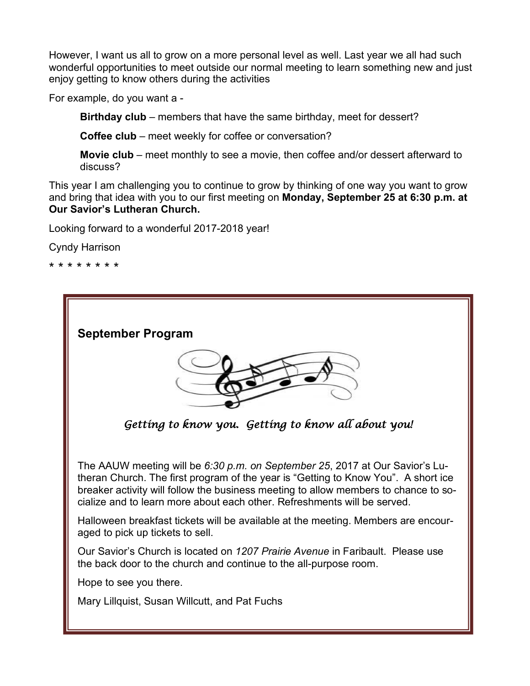However, I want us all to grow on a more personal level as well. Last year we all had such wonderful opportunities to meet outside our normal meeting to learn something new and just enjoy getting to know others during the activities

For example, do you want a -

**Birthday club** – members that have the same birthday, meet for dessert?

**Coffee club** – meet weekly for coffee or conversation?

**Movie club** – meet monthly to see a movie, then coffee and/or dessert afterward to discuss?

This year I am challenging you to continue to grow by thinking of one way you want to grow and bring that idea with you to our first meeting on **Monday, September 25 at 6:30 p.m. at Our Savior's Lutheran Church.** 

Looking forward to a wonderful 2017-2018 year!

Cyndy Harrison

\* \* \* \* \* \* \* \*

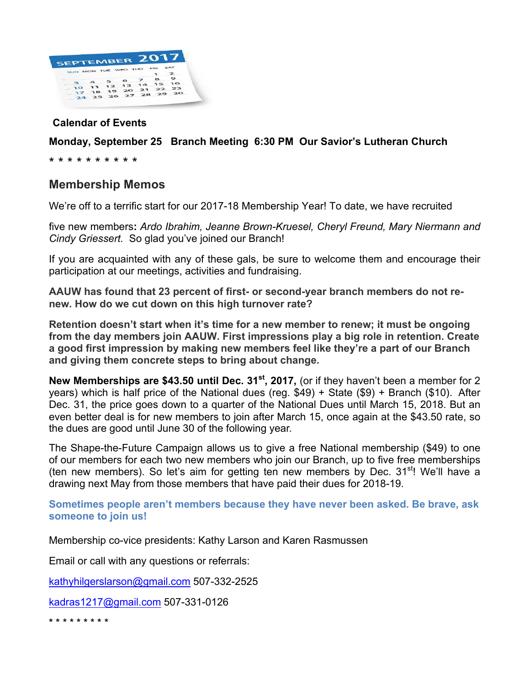

#### **Calendar of Events**

#### **Monday, September 25 Branch Meeting 6:30 PM Our Savior's Lutheran Church**

\* \* \* \* \* \* \* \* \* \*

#### **Membership Memos**

We're off to a terrific start for our 2017-18 Membership Year! To date, we have recruited

five new members**:** *Ardo Ibrahim, Jeanne Brown-Kruesel, Cheryl Freund, Mary Niermann and Cindy Griessert.* So glad you've joined our Branch!

If you are acquainted with any of these gals, be sure to welcome them and encourage their participation at our meetings, activities and fundraising.

**AAUW has found that 23 percent of first- or second-year branch members do not renew. How do we cut down on this high turnover rate?**

**Retention doesn't start when it's time for a new member to renew; it must be ongoing from the day members join AAUW. First impressions play a big role in retention. Create a good first impression by making new members feel like they're a part of our Branch and giving them concrete steps to bring about change.**

**New Memberships are \$43.50 until Dec. 31<sup>st</sup>, 2017, (or if they haven't been a member for 2** years) which is half price of the National dues (reg. \$49) + State (\$9) + Branch (\$10). After Dec. 31, the price goes down to a quarter of the National Dues until March 15, 2018. But an even better deal is for new members to join after March 15, once again at the \$43.50 rate, so the dues are good until June 30 of the following year.

The Shape-the-Future Campaign allows us to give a free National membership (\$49) to one of our members for each two new members who join our Branch, up to five free memberships (ten new members). So let's aim for getting ten new members by Dec.  $31<sup>st</sup>$ ! We'll have a drawing next May from those members that have paid their dues for 2018-19.

**Sometimes people aren't members because they have never been asked. Be brave, ask someone to join us!**

Membership co-vice presidents: Kathy Larson and Karen Rasmussen

Email or call with any questions or referrals:

kathyhilgerslarson@gmail.com 507-332-2525

kadras1217@gmail.com 507-331-0126

\* \* \* \* \* \* \* \* \*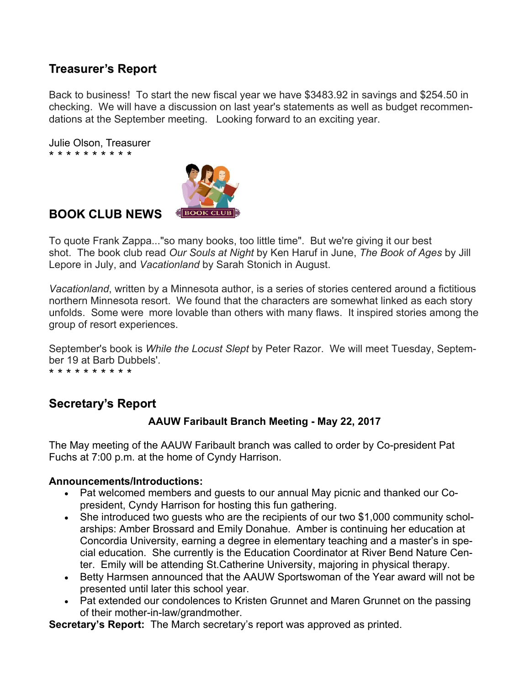## **Treasurer's Report**

Back to business! To start the new fiscal year we have \$3483.92 in savings and \$254.50 in checking. We will have a discussion on last year's statements as well as budget recommendations at the September meeting. Looking forward to an exciting year.

Julie Olson, Treasurer \* \* \* \* \* \* \* \* \* \*



### **BOOK CLUB NEWS**

To quote Frank Zappa..."so many books, too little time". But we're giving it our best shot. The book club read *Our Souls at Night* by Ken Haruf in June, *The Book of Ages* by Jill Lepore in July, and *Vacationland* by Sarah Stonich in August.

*Vacationland*, written by a Minnesota author, is a series of stories centered around a fictitious northern Minnesota resort. We found that the characters are somewhat linked as each story unfolds. Some were more lovable than others with many flaws. It inspired stories among the group of resort experiences.

September's book is *While the Locust Slept* by Peter Razor. We will meet Tuesday, September 19 at Barb Dubbels'.

\* \* \* \* \* \* \* \* \* \*

### **Secretary's Report**

#### **AAUW Faribault Branch Meeting - May 22, 2017**

The May meeting of the AAUW Faribault branch was called to order by Co-president Pat Fuchs at 7:00 p.m. at the home of Cyndy Harrison.

#### **Announcements/Introductions:**

- Pat welcomed members and guests to our annual May picnic and thanked our Copresident, Cyndy Harrison for hosting this fun gathering.
- She introduced two quests who are the recipients of our two \$1,000 community scholarships: Amber Brossard and Emily Donahue. Amber is continuing her education at Concordia University, earning a degree in elementary teaching and a master's in special education. She currently is the Education Coordinator at River Bend Nature Center. Emily will be attending St.Catherine University, majoring in physical therapy.
- Betty Harmsen announced that the AAUW Sportswoman of the Year award will not be presented until later this school year.
- Pat extended our condolences to Kristen Grunnet and Maren Grunnet on the passing of their mother-in-law/grandmother.

**Secretary's Report:** The March secretary's report was approved as printed.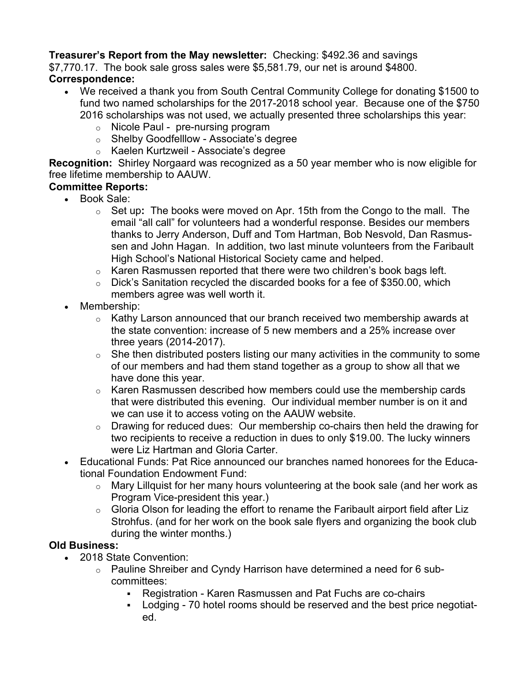#### **Treasurer's Report from the May newsletter:** Checking: \$492.36 and savings

\$7,770.17. The book sale gross sales were \$5,581.79, our net is around \$4800.

### **Correspondence:**

- We received a thank you from South Central Community College for donating \$1500 to fund two named scholarships for the 2017-2018 school year. Because one of the \$750 2016 scholarships was not used, we actually presented three scholarships this year:
	- o Nicole Paul pre-nursing program
	- o Shelby Goodfelllow Associate's degree
	- o Kaelen Kurtzweil Associate's degree

**Recognition:** Shirley Norgaard was recognized as a 50 year member who is now eligible for free lifetime membership to AAUW.

#### **Committee Reports:**

- Book Sale:
	- o Set up**:** The books were moved on Apr. 15th from the Congo to the mall. The email "all call" for volunteers had a wonderful response. Besides our members thanks to Jerry Anderson, Duff and Tom Hartman, Bob Nesvold, Dan Rasmussen and John Hagan. In addition, two last minute volunteers from the Faribault High School's National Historical Society came and helped.
	- $\circ$  Karen Rasmussen reported that there were two children's book bags left.
	- o Dick's Sanitation recycled the discarded books for a fee of \$350.00, which members agree was well worth it.
- Membership:
	- o Kathy Larson announced that our branch received two membership awards at the state convention: increase of 5 new members and a 25% increase over three years (2014-2017).
	- $\circ$  She then distributed posters listing our many activities in the community to some of our members and had them stand together as a group to show all that we have done this year.
	- $\circ$  Karen Rasmussen described how members could use the membership cards that were distributed this evening. Our individual member number is on it and we can use it to access voting on the AAUW website.
	- o Drawing for reduced dues: Our membership co-chairs then held the drawing for two recipients to receive a reduction in dues to only \$19.00. The lucky winners were Liz Hartman and Gloria Carter.
- Educational Funds: Pat Rice announced our branches named honorees for the Educational Foundation Endowment Fund:
	- o Mary Lillquist for her many hours volunteering at the book sale (and her work as Program Vice-president this year.)
	- o Gloria Olson for leading the effort to rename the Faribault airport field after Liz Strohfus. (and for her work on the book sale flyers and organizing the book club during the winter months.)

#### **Old Business:**

- 2018 State Convention:
	- $\circ$  Pauline Shreiber and Cyndy Harrison have determined a need for 6 subcommittees:
		- § Registration Karen Rasmussen and Pat Fuchs are co-chairs
		- Lodging 70 hotel rooms should be reserved and the best price negotiated.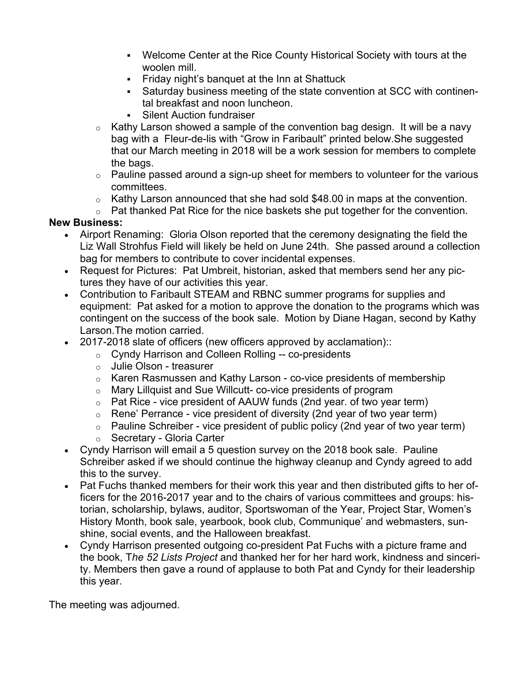- Welcome Center at the Rice County Historical Society with tours at the woolen mill.
- Friday night's banquet at the Inn at Shattuck
- Saturday business meeting of the state convention at SCC with continental breakfast and noon luncheon.
- Silent Auction fundraiser
- $\circ$  Kathy Larson showed a sample of the convention bag design. It will be a navy bag with a Fleur-de-lis with "Grow in Faribault" printed below.She suggested that our March meeting in 2018 will be a work session for members to complete the bags.
- $\circ$  Pauline passed around a sign-up sheet for members to volunteer for the various committees.
- o Kathy Larson announced that she had sold \$48.00 in maps at the convention.
- o Pat thanked Pat Rice for the nice baskets she put together for the convention.

#### **New Business:**

- Airport Renaming: Gloria Olson reported that the ceremony designating the field the Liz Wall Strohfus Field will likely be held on June 24th. She passed around a collection bag for members to contribute to cover incidental expenses.
- Request for Pictures: Pat Umbreit, historian, asked that members send her any pictures they have of our activities this year.
- Contribution to Faribault STEAM and RBNC summer programs for supplies and equipment: Pat asked for a motion to approve the donation to the programs which was contingent on the success of the book sale. Motion by Diane Hagan, second by Kathy Larson.The motion carried.
- 2017-2018 slate of officers (new officers approved by acclamation)::
	- o Cyndy Harrison and Colleen Rolling -- co-presidents
	- o Julie Olson treasurer
	- o Karen Rasmussen and Kathy Larson co-vice presidents of membership
	- o Mary Lillquist and Sue Willcutt- co-vice presidents of program
	- $\circ$  Pat Rice vice president of AAUW funds (2nd year. of two year term)
	- $\circ$  Rene' Perrance vice president of diversity (2nd year of two year term)
	- $\circ$  Pauline Schreiber vice president of public policy (2nd year of two year term)
	- o Secretary Gloria Carter
- Cyndy Harrison will email a 5 question survey on the 2018 book sale. Pauline Schreiber asked if we should continue the highway cleanup and Cyndy agreed to add this to the survey.
- Pat Fuchs thanked members for their work this year and then distributed gifts to her officers for the 2016-2017 year and to the chairs of various committees and groups: historian, scholarship, bylaws, auditor, Sportswoman of the Year, Project Star, Women's History Month, book sale, yearbook, book club, Communique' and webmasters, sunshine, social events, and the Halloween breakfast.
- Cyndy Harrison presented outgoing co-president Pat Fuchs with a picture frame and the book, T*he 52 Lists Project* and thanked her for her hard work, kindness and sincerity. Members then gave a round of applause to both Pat and Cyndy for their leadership this year.

The meeting was adjourned.